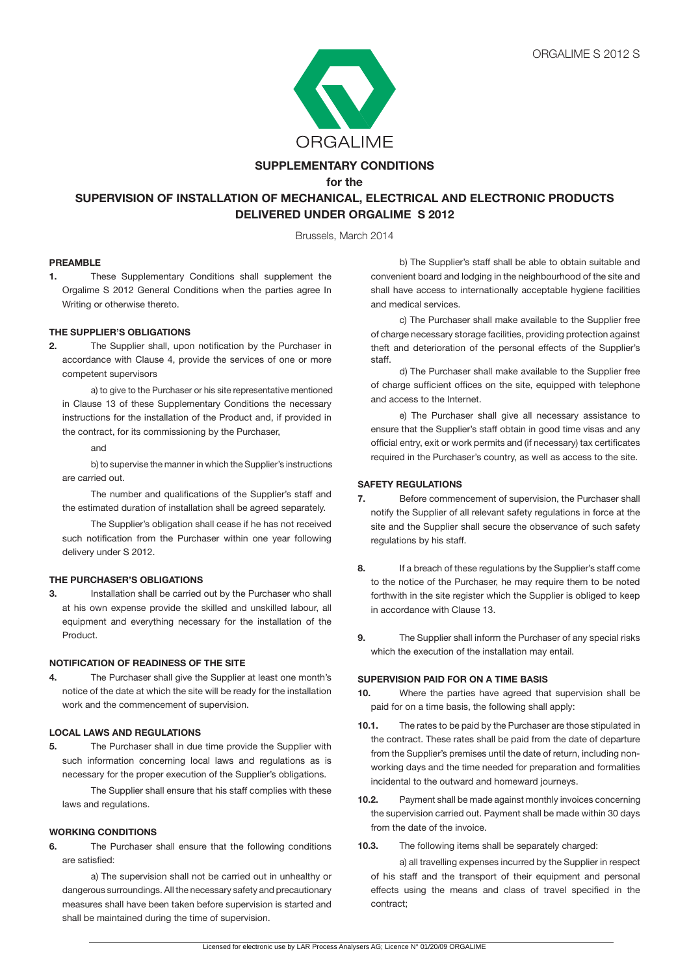

## **SUPPLEMENTARY CONDITIONS**

**for the**

# **SUPERVISION OF INSTALLATION OF MECHANICAL, ELECTRICAL AND ELECTRONIC PRODUCTS DELIVERED UNDER ORGALIME S 2012**

Brussels, March 2014

#### **PREAMBLE**

**1.** These Supplementary Conditions shall supplement the Orgalime S 2012 General Conditions when the parties agree In Writing or otherwise thereto.

## **THE SUPPLIER'S OBLIGATIONS**

**2.** The Supplier shall, upon notification by the Purchaser in accordance with Clause 4, provide the services of one or more competent supervisors

a) to give to the Purchaser or his site representative mentioned in Clause 13 of these Supplementary Conditions the necessary instructions for the installation of the Product and, if provided in the contract, for its commissioning by the Purchaser,

and

b) to supervise the manner in which the Supplier's instructions are carried out.

The number and qualifications of the Supplier's staff and the estimated duration of installation shall be agreed separately.

The Supplier's obligation shall cease if he has not received such notification from the Purchaser within one year following delivery under S 2012.

#### **THE PURCHASER'S OBLIGATIONS**

**3.** Installation shall be carried out by the Purchaser who shall at his own expense provide the skilled and unskilled labour, all equipment and everything necessary for the installation of the Product.

#### **NOTIFICATION OF READINESS OF THE SITE**

**4.** The Purchaser shall give the Supplier at least one month's notice of the date at which the site will be ready for the installation work and the commencement of supervision.

## **LOCAL LAWS AND REGULATIONS**

**5.** The Purchaser shall in due time provide the Supplier with such information concerning local laws and regulations as is necessary for the proper execution of the Supplier's obligations.

 The Supplier shall ensure that his staff complies with these laws and regulations.

## **WORKING CONDITIONS**

**6.** The Purchaser shall ensure that the following conditions are satisfied:

 a) The supervision shall not be carried out in unhealthy or dangerous surroundings. All the necessary safety and precautionary measures shall have been taken before supervision is started and shall be maintained during the time of supervision.

 b) The Supplier's staff shall be able to obtain suitable and convenient board and lodging in the neighbourhood of the site and shall have access to internationally acceptable hygiene facilities and medical services.

 c) The Purchaser shall make available to the Supplier free of charge necessary storage facilities, providing protection against theft and deterioration of the personal effects of the Supplier's staff.

d) The Purchaser shall make available to the Supplier free of charge sufficient offices on the site, equipped with telephone and access to the Internet.

 e) The Purchaser shall give all necessary assistance to ensure that the Supplier's staff obtain in good time visas and any official entry, exit or work permits and (if necessary) tax certificates required in the Purchaser's country, as well as access to the site.

#### **SAFETY REGULATIONS**

- **7.** Before commencement of supervision, the Purchaser shall notify the Supplier of all relevant safety regulations in force at the site and the Supplier shall secure the observance of such safety regulations by his staff.
- **8.** If a breach of these regulations by the Supplier's staff come to the notice of the Purchaser, he may require them to be noted forthwith in the site register which the Supplier is obliged to keep in accordance with Clause 13.
- **9.** The Supplier shall inform the Purchaser of any special risks which the execution of the installation may entail.

## **SUPERVISION PAID FOR ON A TIME BASIS**

- **10.** Where the parties have agreed that supervision shall be paid for on a time basis, the following shall apply:
- **10.1.** The rates to be paid by the Purchaser are those stipulated in the contract. These rates shall be paid from the date of departure from the Supplier's premises until the date of return, including nonworking days and the time needed for preparation and formalities incidental to the outward and homeward journeys.
- **10.2.** Payment shall be made against monthly invoices concerning the supervision carried out. Payment shall be made within 30 days from the date of the invoice.
- **10.3.** The following items shall be separately charged:

 a) all travelling expenses incurred by the Supplier in respect of his staff and the transport of their equipment and personal effects using the means and class of travel specified in the contract;